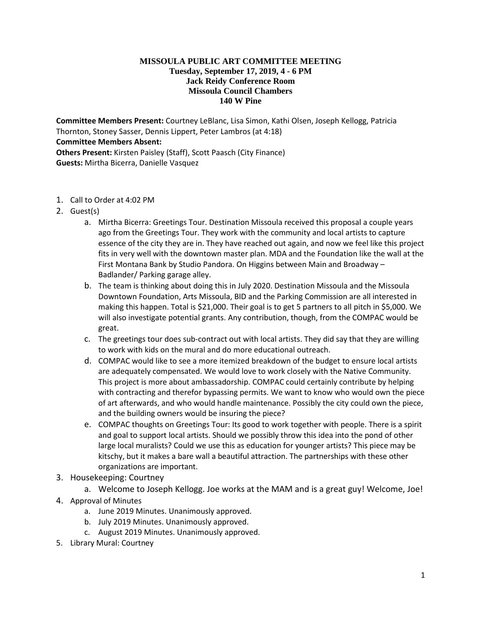## **MISSOULA PUBLIC ART COMMITTEE MEETING Tuesday, September 17, 2019, 4 - 6 PM Jack Reidy Conference Room Missoula Council Chambers 140 W Pine**

**Committee Members Present:** Courtney LeBlanc, Lisa Simon, Kathi Olsen, Joseph Kellogg, Patricia Thornton, Stoney Sasser, Dennis Lippert, Peter Lambros (at 4:18) **Committee Members Absent: Others Present:** Kirsten Paisley (Staff), Scott Paasch (City Finance) **Guests:** Mirtha Bicerra, Danielle Vasquez

- 1. Call to Order at 4:02 PM
- 2. Guest(s)
	- a. Mirtha Bicerra: Greetings Tour. Destination Missoula received this proposal a couple years ago from the Greetings Tour. They work with the community and local artists to capture essence of the city they are in. They have reached out again, and now we feel like this project fits in very well with the downtown master plan. MDA and the Foundation like the wall at the First Montana Bank by Studio Pandora. On Higgins between Main and Broadway – Badlander/ Parking garage alley.
	- b. The team is thinking about doing this in July 2020. Destination Missoula and the Missoula Downtown Foundation, Arts Missoula, BID and the Parking Commission are all interested in making this happen. Total is \$21,000. Their goal is to get 5 partners to all pitch in \$5,000. We will also investigate potential grants. Any contribution, though, from the COMPAC would be great.
	- c. The greetings tour does sub-contract out with local artists. They did say that they are willing to work with kids on the mural and do more educational outreach.
	- d. COMPAC would like to see a more itemized breakdown of the budget to ensure local artists are adequately compensated. We would love to work closely with the Native Community. This project is more about ambassadorship. COMPAC could certainly contribute by helping with contracting and therefor bypassing permits. We want to know who would own the piece of art afterwards, and who would handle maintenance. Possibly the city could own the piece, and the building owners would be insuring the piece?
	- e. COMPAC thoughts on Greetings Tour: Its good to work together with people. There is a spirit and goal to support local artists. Should we possibly throw this idea into the pond of other large local muralists? Could we use this as education for younger artists? This piece may be kitschy, but it makes a bare wall a beautiful attraction. The partnerships with these other organizations are important.
- 3. Housekeeping: Courtney

a. Welcome to Joseph Kellogg. Joe works at the MAM and is a great guy! Welcome, Joe! 4. Approval of Minutes

- a. June 2019 Minutes. Unanimously approved.
- b. July 2019 Minutes. Unanimously approved.
- c. August 2019 Minutes. Unanimously approved.
- 5. Library Mural: Courtney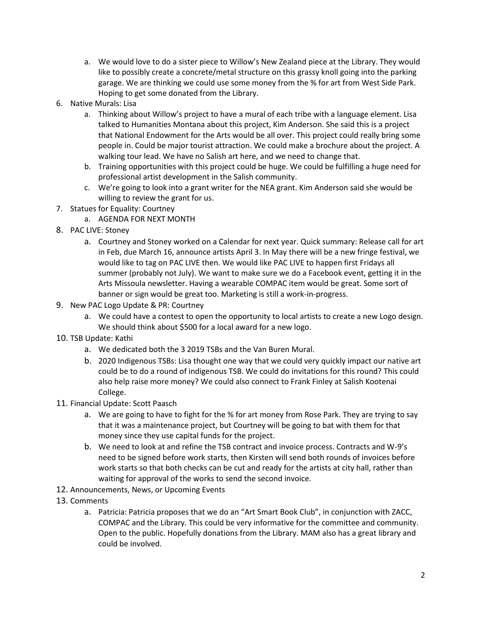- a. We would love to do a sister piece to Willow's New Zealand piece at the Library. They would like to possibly create a concrete/metal structure on this grassy knoll going into the parking garage. We are thinking we could use some money from the % for art from West Side Park. Hoping to get some donated from the Library.
- 6. Native Murals: Lisa
	- a. Thinking about Willow's project to have a mural of each tribe with a language element. Lisa talked to Humanities Montana about this project, Kim Anderson. She said this is a project that National Endowment for the Arts would be all over. This project could really bring some people in. Could be major tourist attraction. We could make a brochure about the project. A walking tour lead. We have no Salish art here, and we need to change that.
	- b. Training opportunities with this project could be huge. We could be fulfilling a huge need for professional artist development in the Salish community.
	- c. We're going to look into a grant writer for the NEA grant. Kim Anderson said she would be willing to review the grant for us.
- 7. Statues for Equality: Courtney
	- a. AGENDA FOR NEXT MONTH
- 8. PAC LIVE: Stoney
	- a. Courtney and Stoney worked on a Calendar for next year. Quick summary: Release call for art in Feb, due March 16, announce artists April 3. In May there will be a new fringe festival, we would like to tag on PAC LIVE then. We would like PAC LIVE to happen first Fridays all summer (probably not July). We want to make sure we do a Facebook event, getting it in the Arts Missoula newsletter. Having a wearable COMPAC item would be great. Some sort of banner or sign would be great too. Marketing is still a work-in-progress.
- 9. New PAC Logo Update & PR: Courtney
	- a. We could have a contest to open the opportunity to local artists to create a new Logo design. We should think about \$500 for a local award for a new logo.
- 10. TSB Update: Kathi
	- a. We dedicated both the 3 2019 TSBs and the Van Buren Mural.
	- b. 2020 Indigenous TSBs: Lisa thought one way that we could very quickly impact our native art could be to do a round of indigenous TSB. We could do invitations for this round? This could also help raise more money? We could also connect to Frank Finley at Salish Kootenai College.
- 11. Financial Update: Scott Paasch
	- a. We are going to have to fight for the % for art money from Rose Park. They are trying to say that it was a maintenance project, but Courtney will be going to bat with them for that money since they use capital funds for the project.
	- b. We need to look at and refine the TSB contract and invoice process. Contracts and W-9's need to be signed before work starts, then Kirsten will send both rounds of invoices before work starts so that both checks can be cut and ready for the artists at city hall, rather than waiting for approval of the works to send the second invoice.
- 12. Announcements, News, or Upcoming Events
- 13. Comments
	- a. Patricia: Patricia proposes that we do an "Art Smart Book Club", in conjunction with ZACC, COMPAC and the Library. This could be very informative for the committee and community. Open to the public. Hopefully donations from the Library. MAM also has a great library and could be involved.